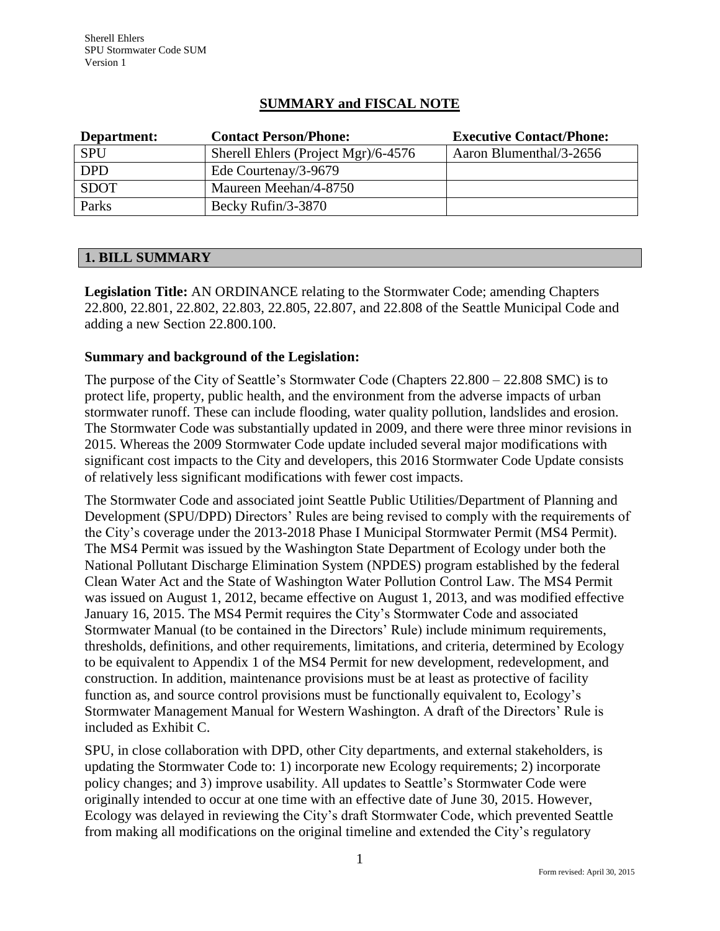# **SUMMARY and FISCAL NOTE**

| Department: | <b>Contact Person/Phone:</b>        | <b>Executive Contact/Phone:</b> |
|-------------|-------------------------------------|---------------------------------|
| <b>SPU</b>  | Sherell Ehlers (Project Mgr)/6-4576 | Aaron Blumenthal/3-2656         |
| <b>DPD</b>  | Ede Courtenay/3-9679                |                                 |
| <b>SDOT</b> | Maureen Meehan/4-8750               |                                 |
| Parks       | Becky Rufin/3-3870                  |                                 |

### **1. BILL SUMMARY**

**Legislation Title:** AN ORDINANCE relating to the Stormwater Code; amending Chapters 22.800, 22.801, 22.802, 22.803, 22.805, 22.807, and 22.808 of the Seattle Municipal Code and adding a new Section 22.800.100.

## **Summary and background of the Legislation:**

The purpose of the City of Seattle's Stormwater Code (Chapters 22.800 – 22.808 SMC) is to protect life, property, public health, and the environment from the adverse impacts of urban stormwater runoff. These can include flooding, water quality pollution, landslides and erosion. The Stormwater Code was substantially updated in 2009, and there were three minor revisions in 2015. Whereas the 2009 Stormwater Code update included several major modifications with significant cost impacts to the City and developers, this 2016 Stormwater Code Update consists of relatively less significant modifications with fewer cost impacts.

The Stormwater Code and associated joint Seattle Public Utilities/Department of Planning and Development (SPU/DPD) Directors' Rules are being revised to comply with the requirements of the City's coverage under the 2013-2018 Phase I Municipal Stormwater Permit (MS4 Permit). The MS4 Permit was issued by the Washington State Department of Ecology under both the National Pollutant Discharge Elimination System (NPDES) program established by the federal Clean Water Act and the State of Washington Water Pollution Control Law. The MS4 Permit was issued on August 1, 2012, became effective on August 1, 2013, and was modified effective January 16, 2015. The MS4 Permit requires the City's Stormwater Code and associated Stormwater Manual (to be contained in the Directors' Rule) include minimum requirements, thresholds, definitions, and other requirements, limitations, and criteria, determined by Ecology to be equivalent to Appendix 1 of the MS4 Permit for new development, redevelopment, and construction. In addition, maintenance provisions must be at least as protective of facility function as, and source control provisions must be functionally equivalent to, Ecology's Stormwater Management Manual for Western Washington. A draft of the Directors' Rule is included as Exhibit C.

SPU, in close collaboration with DPD, other City departments, and external stakeholders, is updating the Stormwater Code to: 1) incorporate new Ecology requirements; 2) incorporate policy changes; and 3) improve usability. All updates to Seattle's Stormwater Code were originally intended to occur at one time with an effective date of June 30, 2015. However, Ecology was delayed in reviewing the City's draft Stormwater Code, which prevented Seattle from making all modifications on the original timeline and extended the City's regulatory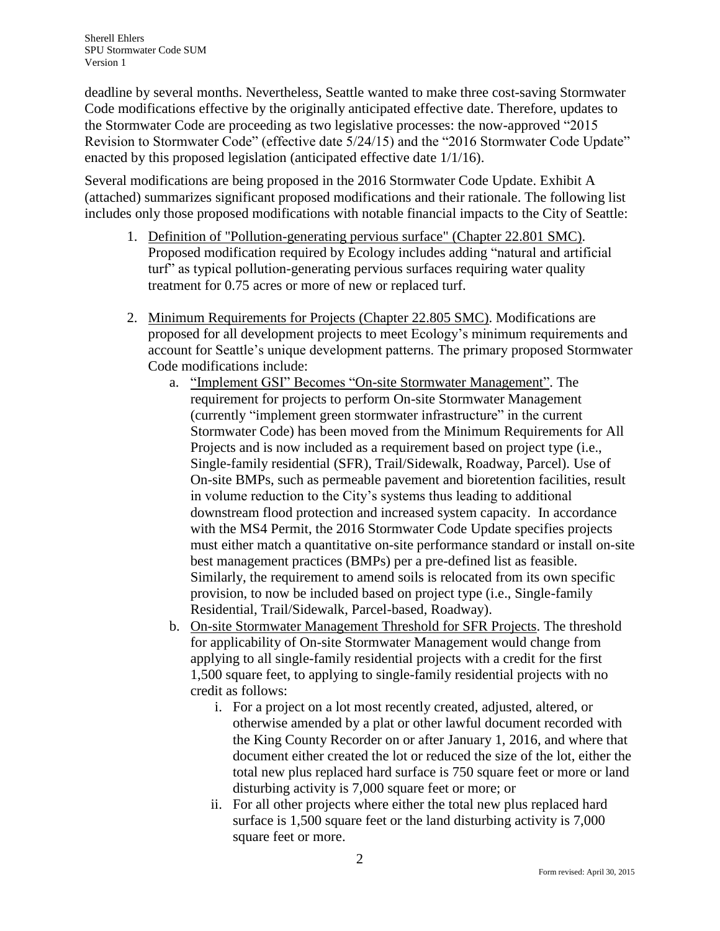deadline by several months. Nevertheless, Seattle wanted to make three cost-saving Stormwater Code modifications effective by the originally anticipated effective date. Therefore, updates to the Stormwater Code are proceeding as two legislative processes: the now-approved "2015 Revision to Stormwater Code" (effective date 5/24/15) and the "2016 Stormwater Code Update" enacted by this proposed legislation (anticipated effective date 1/1/16).

Several modifications are being proposed in the 2016 Stormwater Code Update. Exhibit A (attached) summarizes significant proposed modifications and their rationale. The following list includes only those proposed modifications with notable financial impacts to the City of Seattle:

- 1. Definition of "Pollution-generating pervious surface" (Chapter 22.801 SMC). Proposed modification required by Ecology includes adding "natural and artificial turf" as typical pollution-generating pervious surfaces requiring water quality treatment for 0.75 acres or more of new or replaced turf.
- 2. Minimum Requirements for Projects (Chapter 22.805 SMC). Modifications are proposed for all development projects to meet Ecology's minimum requirements and account for Seattle's unique development patterns. The primary proposed Stormwater Code modifications include:
	- a. "Implement GSI" Becomes "On-site Stormwater Management". The requirement for projects to perform On-site Stormwater Management (currently "implement green stormwater infrastructure" in the current Stormwater Code) has been moved from the Minimum Requirements for All Projects and is now included as a requirement based on project type (i.e., Single-family residential (SFR), Trail/Sidewalk, Roadway, Parcel). Use of On-site BMPs, such as permeable pavement and bioretention facilities, result in volume reduction to the City's systems thus leading to additional downstream flood protection and increased system capacity. In accordance with the MS4 Permit, the 2016 Stormwater Code Update specifies projects must either match a quantitative on-site performance standard or install on-site best management practices (BMPs) per a pre-defined list as feasible. Similarly, the requirement to amend soils is relocated from its own specific provision, to now be included based on project type (i.e., Single-family Residential, Trail/Sidewalk, Parcel-based, Roadway).
	- b. On-site Stormwater Management Threshold for SFR Projects. The threshold for applicability of On-site Stormwater Management would change from applying to all single-family residential projects with a credit for the first 1,500 square feet, to applying to single-family residential projects with no credit as follows:
		- i. For a project on a lot most recently created, adjusted, altered, or otherwise amended by a plat or other lawful document recorded with the King County Recorder on or after January 1, 2016, and where that document either created the lot or reduced the size of the lot, either the total new plus replaced hard surface is 750 square feet or more or land disturbing activity is 7,000 square feet or more; or
		- ii. For all other projects where either the total new plus replaced hard surface is 1,500 square feet or the land disturbing activity is 7,000 square feet or more.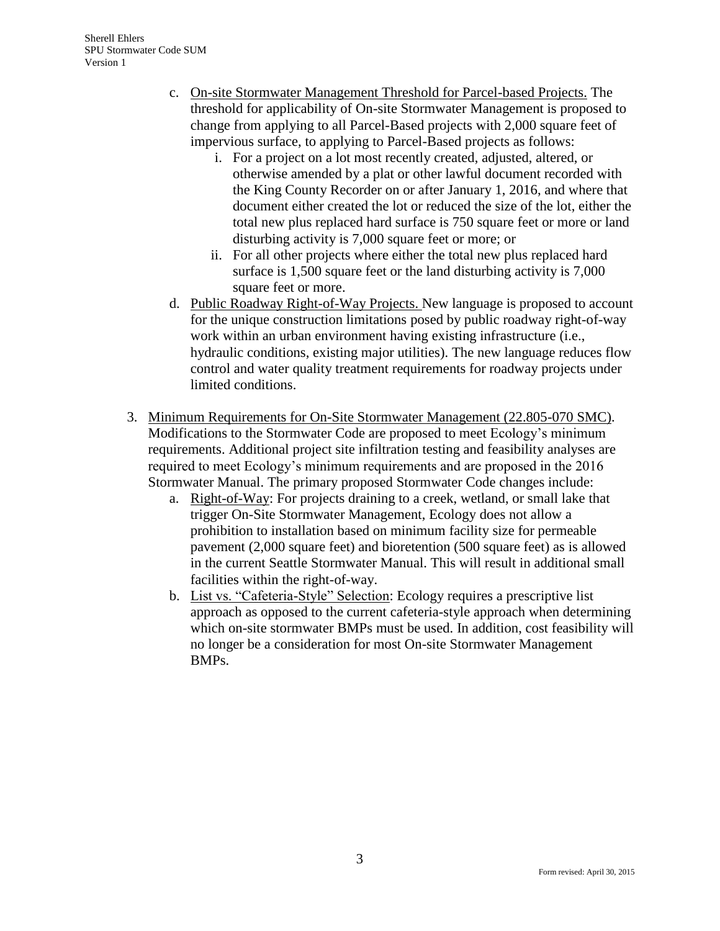- c. On-site Stormwater Management Threshold for Parcel-based Projects. The threshold for applicability of On-site Stormwater Management is proposed to change from applying to all Parcel-Based projects with 2,000 square feet of impervious surface, to applying to Parcel-Based projects as follows:
	- i. For a project on a lot most recently created, adjusted, altered, or otherwise amended by a plat or other lawful document recorded with the King County Recorder on or after January 1, 2016, and where that document either created the lot or reduced the size of the lot, either the total new plus replaced hard surface is 750 square feet or more or land disturbing activity is 7,000 square feet or more; or
	- ii. For all other projects where either the total new plus replaced hard surface is 1,500 square feet or the land disturbing activity is 7,000 square feet or more.
- d. Public Roadway Right-of-Way Projects. New language is proposed to account for the unique construction limitations posed by public roadway right-of-way work within an urban environment having existing infrastructure (i.e., hydraulic conditions, existing major utilities). The new language reduces flow control and water quality treatment requirements for roadway projects under limited conditions.
- 3. Minimum Requirements for On-Site Stormwater Management (22.805-070 SMC). Modifications to the Stormwater Code are proposed to meet Ecology's minimum requirements. Additional project site infiltration testing and feasibility analyses are required to meet Ecology's minimum requirements and are proposed in the 2016 Stormwater Manual. The primary proposed Stormwater Code changes include:
	- a. Right-of-Way: For projects draining to a creek, wetland, or small lake that trigger On-Site Stormwater Management, Ecology does not allow a prohibition to installation based on minimum facility size for permeable pavement (2,000 square feet) and bioretention (500 square feet) as is allowed in the current Seattle Stormwater Manual. This will result in additional small facilities within the right-of-way.
	- b. List vs. "Cafeteria-Style" Selection: Ecology requires a prescriptive list approach as opposed to the current cafeteria-style approach when determining which on-site stormwater BMPs must be used. In addition, cost feasibility will no longer be a consideration for most On-site Stormwater Management BMPs.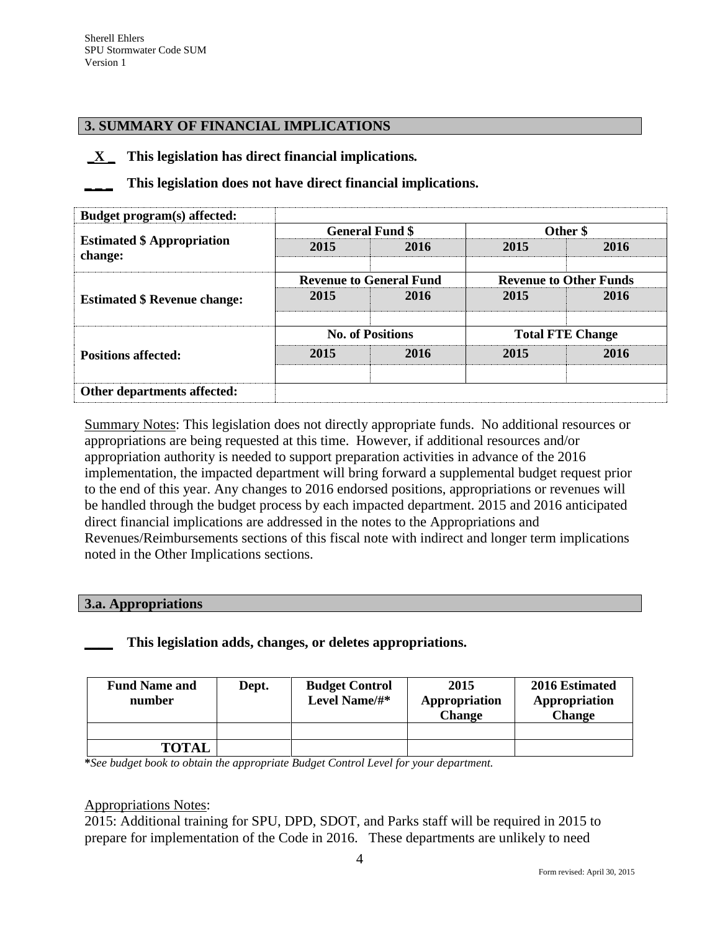### **3. SUMMARY OF FINANCIAL IMPLICATIONS**

**\_X \_ This legislation has direct financial implications***.*

**\_ \_ \_ This legislation does not have direct financial implications.**

| Budget program(s) affected:                  |      |                                |                               |      |  |
|----------------------------------------------|------|--------------------------------|-------------------------------|------|--|
|                                              |      | <b>General Fund \$</b>         | Other \$                      |      |  |
| <b>Estimated \$ Appropriation</b><br>change: | 2015 | 2016                           | 2015                          | 2016 |  |
|                                              |      | <b>Revenue to General Fund</b> | <b>Revenue to Other Funds</b> |      |  |
| <b>Estimated \$ Revenue change:</b>          | 2015 | 2016                           | 2015                          | 2016 |  |
|                                              |      | <b>No. of Positions</b>        | <b>Total FTE Change</b>       |      |  |
| <b>Positions affected:</b>                   | 2015 | 2016                           | 2015                          | 2016 |  |
|                                              |      |                                |                               |      |  |
| Other departments affected:                  |      |                                |                               |      |  |

Summary Notes: This legislation does not directly appropriate funds. No additional resources or appropriations are being requested at this time. However, if additional resources and/or appropriation authority is needed to support preparation activities in advance of the 2016 implementation, the impacted department will bring forward a supplemental budget request prior to the end of this year. Any changes to 2016 endorsed positions, appropriations or revenues will be handled through the budget process by each impacted department. 2015 and 2016 anticipated direct financial implications are addressed in the notes to the Appropriations and Revenues/Reimbursements sections of this fiscal note with indirect and longer term implications noted in the Other Implications sections.

#### **3.a. Appropriations**

**\_\_\_\_ This legislation adds, changes, or deletes appropriations.**

| <b>Fund Name and</b><br>number | Dept. | <b>Budget Control</b><br>Level Name/#* | 2015<br>Appropriation<br><b>Change</b> | 2016 Estimated<br>Appropriation<br><b>Change</b> |
|--------------------------------|-------|----------------------------------------|----------------------------------------|--------------------------------------------------|
|                                |       |                                        |                                        |                                                  |
| <b>TOTAL</b>                   |       |                                        |                                        |                                                  |

**\****See budget book to obtain the appropriate Budget Control Level for your department.*

#### Appropriations Notes:

2015: Additional training for SPU, DPD, SDOT, and Parks staff will be required in 2015 to prepare for implementation of the Code in 2016. These departments are unlikely to need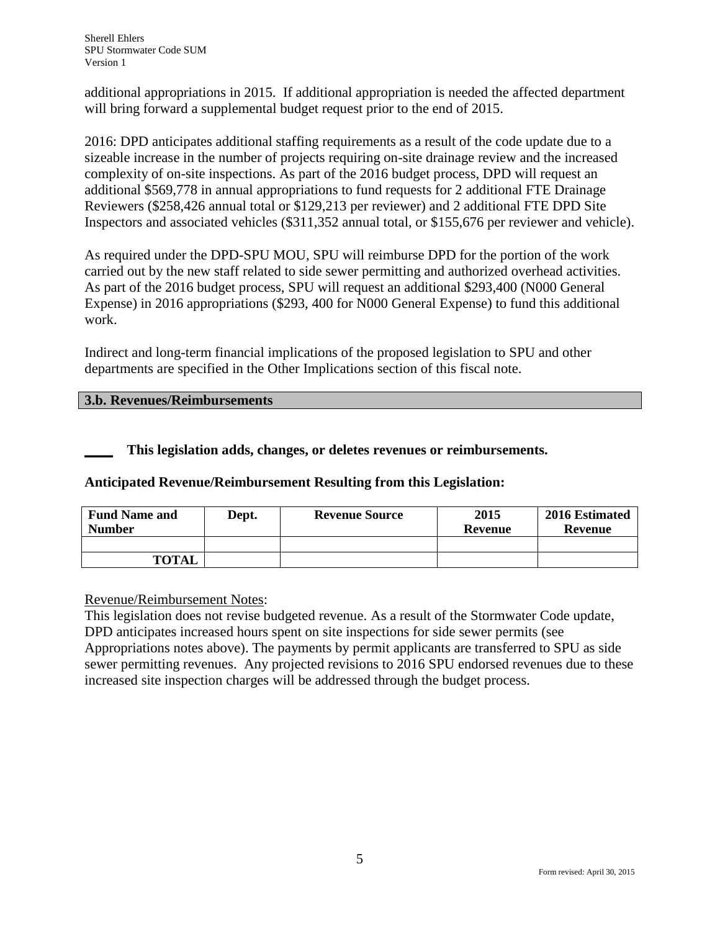additional appropriations in 2015. If additional appropriation is needed the affected department will bring forward a supplemental budget request prior to the end of 2015.

2016: DPD anticipates additional staffing requirements as a result of the code update due to a sizeable increase in the number of projects requiring on-site drainage review and the increased complexity of on-site inspections. As part of the 2016 budget process, DPD will request an additional \$569,778 in annual appropriations to fund requests for 2 additional FTE Drainage Reviewers (\$258,426 annual total or \$129,213 per reviewer) and 2 additional FTE DPD Site Inspectors and associated vehicles (\$311,352 annual total, or \$155,676 per reviewer and vehicle).

As required under the DPD-SPU MOU, SPU will reimburse DPD for the portion of the work carried out by the new staff related to side sewer permitting and authorized overhead activities. As part of the 2016 budget process, SPU will request an additional \$293,400 (N000 General Expense) in 2016 appropriations (\$293, 400 for N000 General Expense) to fund this additional work.

Indirect and long-term financial implications of the proposed legislation to SPU and other departments are specified in the Other Implications section of this fiscal note.

### **3.b. Revenues/Reimbursements**

**\_\_\_\_ This legislation adds, changes, or deletes revenues or reimbursements.**

# **Anticipated Revenue/Reimbursement Resulting from this Legislation:**

| <b>Fund Name and</b><br><b>Number</b> | Dept. | <b>Revenue Source</b> | 2015<br>Revenue | 2016 Estimated<br>Revenue |
|---------------------------------------|-------|-----------------------|-----------------|---------------------------|
|                                       |       |                       |                 |                           |
| <b>TOTAL</b>                          |       |                       |                 |                           |

### Revenue/Reimbursement Notes:

This legislation does not revise budgeted revenue. As a result of the Stormwater Code update, DPD anticipates increased hours spent on site inspections for side sewer permits (see Appropriations notes above). The payments by permit applicants are transferred to SPU as side sewer permitting revenues. Any projected revisions to 2016 SPU endorsed revenues due to these increased site inspection charges will be addressed through the budget process.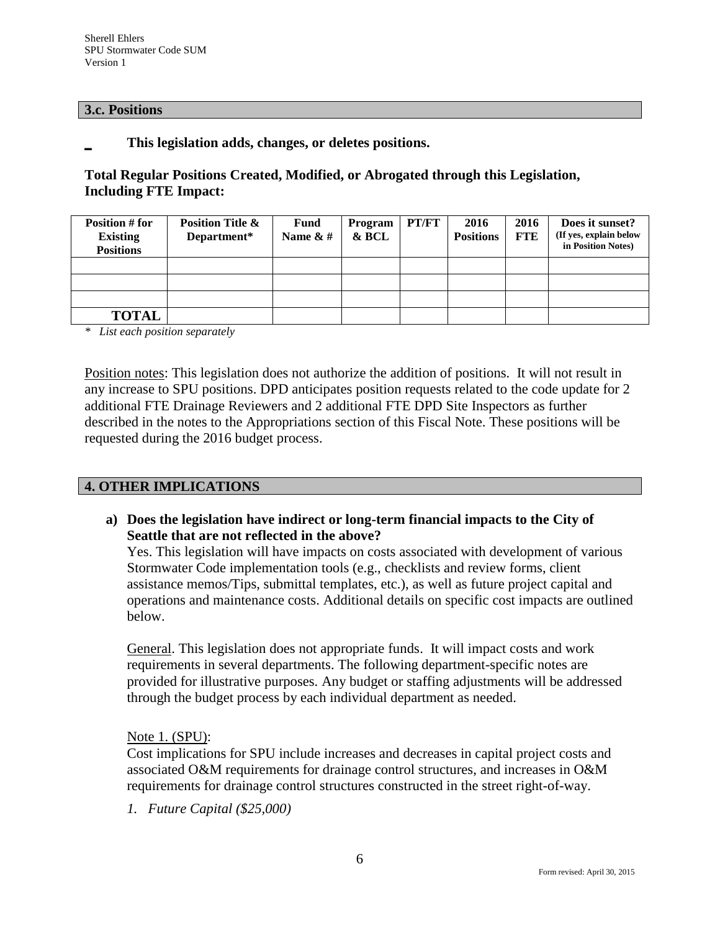#### **3.c. Positions**

**\_ This legislation adds, changes, or deletes positions.**

## **Total Regular Positions Created, Modified, or Abrogated through this Legislation, Including FTE Impact:**

| Position # for<br><b>Existing</b><br><b>Positions</b> | <b>Position Title &amp;</b><br>Department* | <b>Fund</b><br>Name $& 4$ | Program<br>& BCL | PT/FT | 2016<br><b>Positions</b> | 2016<br><b>FTE</b> | Does it sunset?<br>(If yes, explain below<br>in Position Notes) |
|-------------------------------------------------------|--------------------------------------------|---------------------------|------------------|-------|--------------------------|--------------------|-----------------------------------------------------------------|
|                                                       |                                            |                           |                  |       |                          |                    |                                                                 |
|                                                       |                                            |                           |                  |       |                          |                    |                                                                 |
|                                                       |                                            |                           |                  |       |                          |                    |                                                                 |
| <b>TOTAL</b>                                          |                                            |                           |                  |       |                          |                    |                                                                 |

*\* List each position separately*

Position notes: This legislation does not authorize the addition of positions. It will not result in any increase to SPU positions. DPD anticipates position requests related to the code update for 2 additional FTE Drainage Reviewers and 2 additional FTE DPD Site Inspectors as further described in the notes to the Appropriations section of this Fiscal Note. These positions will be requested during the 2016 budget process.

### **4. OTHER IMPLICATIONS**

**a) Does the legislation have indirect or long-term financial impacts to the City of Seattle that are not reflected in the above?**

Yes. This legislation will have impacts on costs associated with development of various Stormwater Code implementation tools (e.g., checklists and review forms, client assistance memos/Tips, submittal templates, etc.), as well as future project capital and operations and maintenance costs. Additional details on specific cost impacts are outlined below.

General. This legislation does not appropriate funds. It will impact costs and work requirements in several departments. The following department-specific notes are provided for illustrative purposes. Any budget or staffing adjustments will be addressed through the budget process by each individual department as needed.

Note 1. (SPU):

Cost implications for SPU include increases and decreases in capital project costs and associated O&M requirements for drainage control structures, and increases in O&M requirements for drainage control structures constructed in the street right-of-way.

*1. Future Capital (\$25,000)*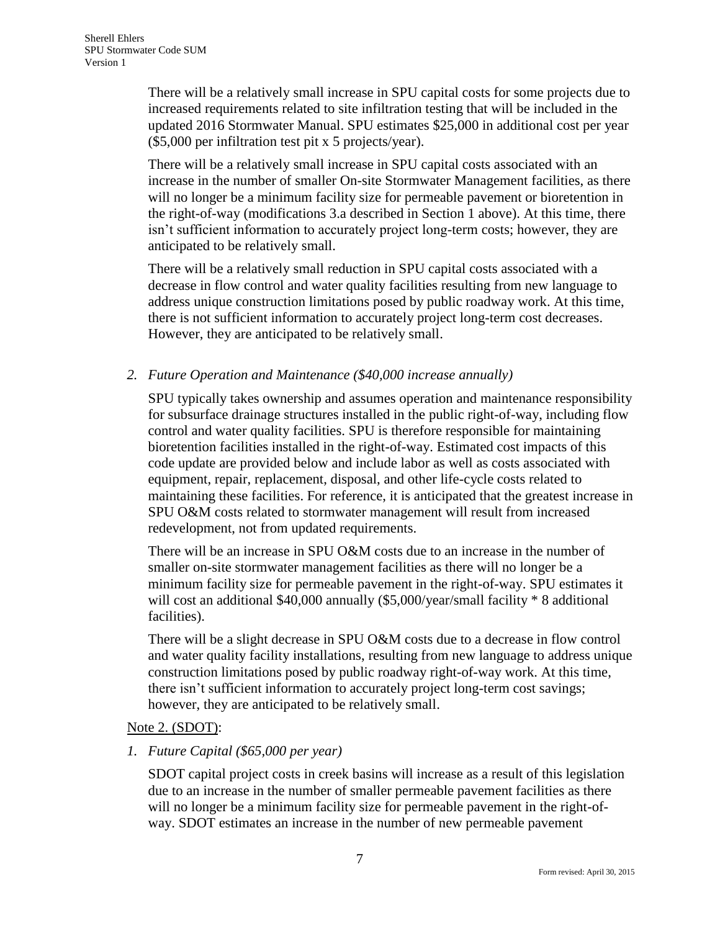There will be a relatively small increase in SPU capital costs for some projects due to increased requirements related to site infiltration testing that will be included in the updated 2016 Stormwater Manual. SPU estimates \$25,000 in additional cost per year (\$5,000 per infiltration test pit x 5 projects/year).

There will be a relatively small increase in SPU capital costs associated with an increase in the number of smaller On-site Stormwater Management facilities, as there will no longer be a minimum facility size for permeable pavement or bioretention in the right-of-way (modifications 3.a described in Section 1 above). At this time, there isn't sufficient information to accurately project long-term costs; however, they are anticipated to be relatively small.

There will be a relatively small reduction in SPU capital costs associated with a decrease in flow control and water quality facilities resulting from new language to address unique construction limitations posed by public roadway work. At this time, there is not sufficient information to accurately project long-term cost decreases. However, they are anticipated to be relatively small.

## *2. Future Operation and Maintenance (\$40,000 increase annually)*

SPU typically takes ownership and assumes operation and maintenance responsibility for subsurface drainage structures installed in the public right-of-way, including flow control and water quality facilities. SPU is therefore responsible for maintaining bioretention facilities installed in the right-of-way. Estimated cost impacts of this code update are provided below and include labor as well as costs associated with equipment, repair, replacement, disposal, and other life-cycle costs related to maintaining these facilities. For reference, it is anticipated that the greatest increase in SPU O&M costs related to stormwater management will result from increased redevelopment, not from updated requirements.

There will be an increase in SPU O&M costs due to an increase in the number of smaller on-site stormwater management facilities as there will no longer be a minimum facility size for permeable pavement in the right-of-way. SPU estimates it will cost an additional \$40,000 annually (\$5,000/year/small facility \* 8 additional facilities).

There will be a slight decrease in SPU O&M costs due to a decrease in flow control and water quality facility installations, resulting from new language to address unique construction limitations posed by public roadway right-of-way work. At this time, there isn't sufficient information to accurately project long-term cost savings; however, they are anticipated to be relatively small.

### Note 2. (SDOT):

### *1. Future Capital (\$65,000 per year)*

SDOT capital project costs in creek basins will increase as a result of this legislation due to an increase in the number of smaller permeable pavement facilities as there will no longer be a minimum facility size for permeable pavement in the right-ofway. SDOT estimates an increase in the number of new permeable pavement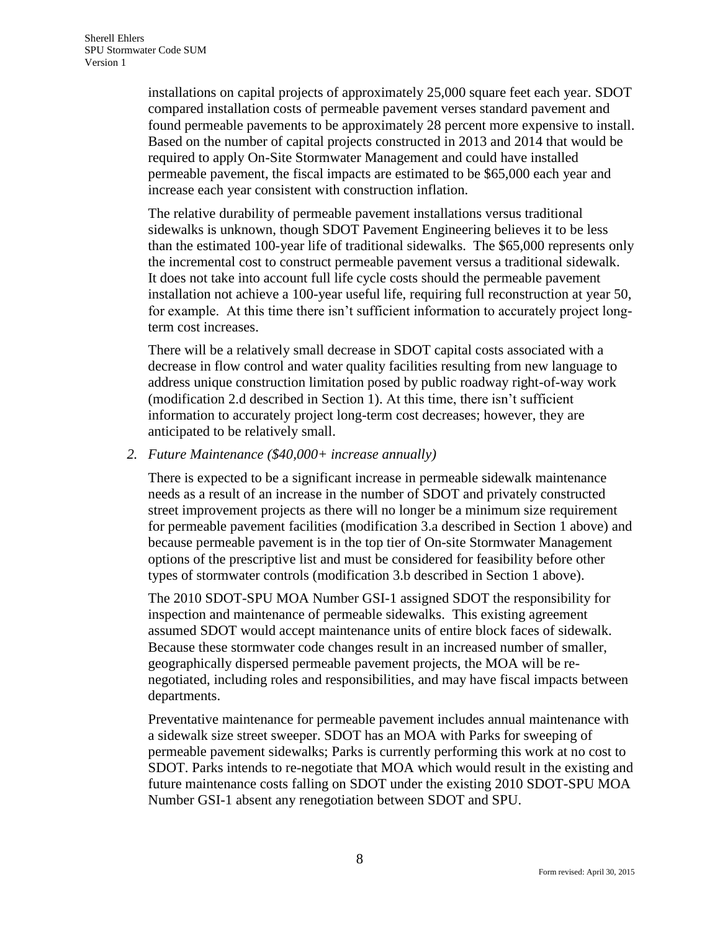installations on capital projects of approximately 25,000 square feet each year. SDOT compared installation costs of permeable pavement verses standard pavement and found permeable pavements to be approximately 28 percent more expensive to install. Based on the number of capital projects constructed in 2013 and 2014 that would be required to apply On-Site Stormwater Management and could have installed permeable pavement, the fiscal impacts are estimated to be \$65,000 each year and increase each year consistent with construction inflation.

The relative durability of permeable pavement installations versus traditional sidewalks is unknown, though SDOT Pavement Engineering believes it to be less than the estimated 100-year life of traditional sidewalks. The \$65,000 represents only the incremental cost to construct permeable pavement versus a traditional sidewalk. It does not take into account full life cycle costs should the permeable pavement installation not achieve a 100-year useful life, requiring full reconstruction at year 50, for example. At this time there isn't sufficient information to accurately project longterm cost increases.

There will be a relatively small decrease in SDOT capital costs associated with a decrease in flow control and water quality facilities resulting from new language to address unique construction limitation posed by public roadway right-of-way work (modification 2.d described in Section 1). At this time, there isn't sufficient information to accurately project long-term cost decreases; however, they are anticipated to be relatively small.

#### *2. Future Maintenance (\$40,000+ increase annually)*

There is expected to be a significant increase in permeable sidewalk maintenance needs as a result of an increase in the number of SDOT and privately constructed street improvement projects as there will no longer be a minimum size requirement for permeable pavement facilities (modification 3.a described in Section 1 above) and because permeable pavement is in the top tier of On-site Stormwater Management options of the prescriptive list and must be considered for feasibility before other types of stormwater controls (modification 3.b described in Section 1 above).

The 2010 SDOT-SPU MOA Number GSI-1 assigned SDOT the responsibility for inspection and maintenance of permeable sidewalks. This existing agreement assumed SDOT would accept maintenance units of entire block faces of sidewalk. Because these stormwater code changes result in an increased number of smaller, geographically dispersed permeable pavement projects, the MOA will be renegotiated, including roles and responsibilities, and may have fiscal impacts between departments.

Preventative maintenance for permeable pavement includes annual maintenance with a sidewalk size street sweeper. SDOT has an MOA with Parks for sweeping of permeable pavement sidewalks; Parks is currently performing this work at no cost to SDOT. Parks intends to re-negotiate that MOA which would result in the existing and future maintenance costs falling on SDOT under the existing 2010 SDOT-SPU MOA Number GSI-1 absent any renegotiation between SDOT and SPU.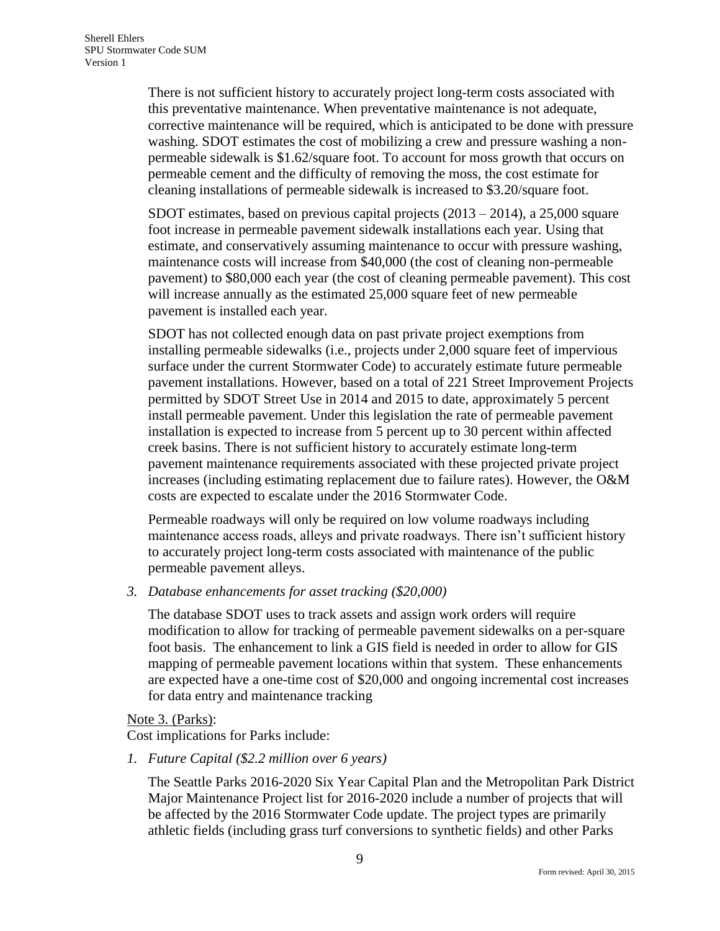There is not sufficient history to accurately project long-term costs associated with this preventative maintenance. When preventative maintenance is not adequate, corrective maintenance will be required, which is anticipated to be done with pressure washing. SDOT estimates the cost of mobilizing a crew and pressure washing a nonpermeable sidewalk is \$1.62/square foot. To account for moss growth that occurs on permeable cement and the difficulty of removing the moss, the cost estimate for cleaning installations of permeable sidewalk is increased to \$3.20/square foot.

SDOT estimates, based on previous capital projects (2013 – 2014), a 25,000 square foot increase in permeable pavement sidewalk installations each year. Using that estimate, and conservatively assuming maintenance to occur with pressure washing, maintenance costs will increase from \$40,000 (the cost of cleaning non-permeable pavement) to \$80,000 each year (the cost of cleaning permeable pavement). This cost will increase annually as the estimated 25,000 square feet of new permeable pavement is installed each year.

SDOT has not collected enough data on past private project exemptions from installing permeable sidewalks (i.e., projects under 2,000 square feet of impervious surface under the current Stormwater Code) to accurately estimate future permeable pavement installations. However, based on a total of 221 Street Improvement Projects permitted by SDOT Street Use in 2014 and 2015 to date, approximately 5 percent install permeable pavement. Under this legislation the rate of permeable pavement installation is expected to increase from 5 percent up to 30 percent within affected creek basins. There is not sufficient history to accurately estimate long-term pavement maintenance requirements associated with these projected private project increases (including estimating replacement due to failure rates). However, the O&M costs are expected to escalate under the 2016 Stormwater Code.

Permeable roadways will only be required on low volume roadways including maintenance access roads, alleys and private roadways. There isn't sufficient history to accurately project long-term costs associated with maintenance of the public permeable pavement alleys.

*3. Database enhancements for asset tracking (\$20,000)*

The database SDOT uses to track assets and assign work orders will require modification to allow for tracking of permeable pavement sidewalks on a per-square foot basis. The enhancement to link a GIS field is needed in order to allow for GIS mapping of permeable pavement locations within that system. These enhancements are expected have a one-time cost of \$20,000 and ongoing incremental cost increases for data entry and maintenance tracking

#### Note 3. (Parks):

Cost implications for Parks include:

*1. Future Capital (\$2.2 million over 6 years)*

The Seattle Parks 2016-2020 Six Year Capital Plan and the Metropolitan Park District Major Maintenance Project list for 2016-2020 include a number of projects that will be affected by the 2016 Stormwater Code update. The project types are primarily athletic fields (including grass turf conversions to synthetic fields) and other Parks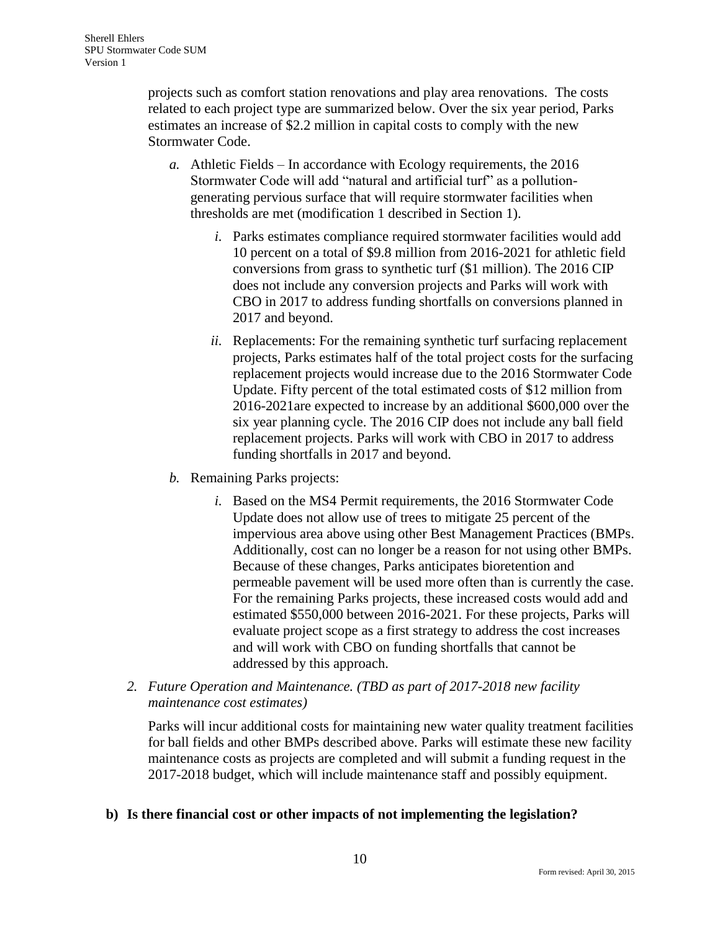projects such as comfort station renovations and play area renovations. The costs related to each project type are summarized below. Over the six year period, Parks estimates an increase of \$2.2 million in capital costs to comply with the new Stormwater Code.

- *a.* Athletic Fields In accordance with Ecology requirements, the 2016 Stormwater Code will add "natural and artificial turf" as a pollutiongenerating pervious surface that will require stormwater facilities when thresholds are met (modification 1 described in Section 1).
	- *i.* Parks estimates compliance required stormwater facilities would add 10 percent on a total of \$9.8 million from 2016-2021 for athletic field conversions from grass to synthetic turf (\$1 million). The 2016 CIP does not include any conversion projects and Parks will work with CBO in 2017 to address funding shortfalls on conversions planned in 2017 and beyond.
	- *ii.* Replacements: For the remaining synthetic turf surfacing replacement projects, Parks estimates half of the total project costs for the surfacing replacement projects would increase due to the 2016 Stormwater Code Update. Fifty percent of the total estimated costs of \$12 million from 2016-2021are expected to increase by an additional \$600,000 over the six year planning cycle. The 2016 CIP does not include any ball field replacement projects. Parks will work with CBO in 2017 to address funding shortfalls in 2017 and beyond.
- *b.* Remaining Parks projects:
	- *i.* Based on the MS4 Permit requirements, the 2016 Stormwater Code Update does not allow use of trees to mitigate 25 percent of the impervious area above using other Best Management Practices (BMPs. Additionally, cost can no longer be a reason for not using other BMPs. Because of these changes, Parks anticipates bioretention and permeable pavement will be used more often than is currently the case. For the remaining Parks projects, these increased costs would add and estimated \$550,000 between 2016-2021. For these projects, Parks will evaluate project scope as a first strategy to address the cost increases and will work with CBO on funding shortfalls that cannot be addressed by this approach.
- *2. Future Operation and Maintenance. (TBD as part of 2017-2018 new facility maintenance cost estimates)*

Parks will incur additional costs for maintaining new water quality treatment facilities for ball fields and other BMPs described above. Parks will estimate these new facility maintenance costs as projects are completed and will submit a funding request in the 2017-2018 budget, which will include maintenance staff and possibly equipment.

# **b) Is there financial cost or other impacts of not implementing the legislation?**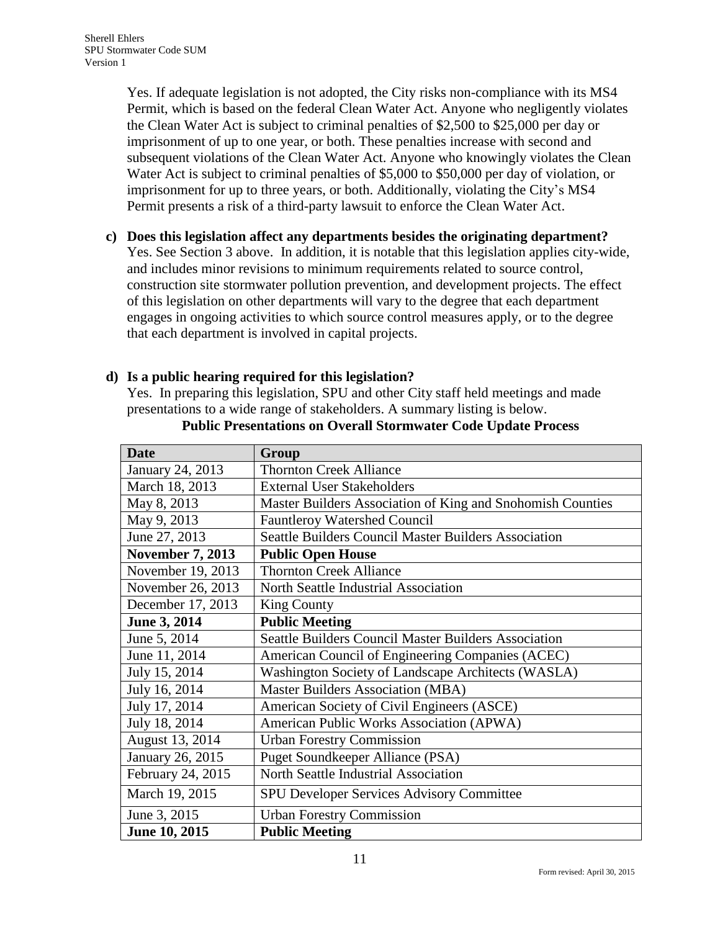Yes. If adequate legislation is not adopted, the City risks non-compliance with its MS4 Permit, which is based on the federal Clean Water Act. Anyone who negligently violates the Clean Water Act is subject to criminal penalties of \$2,500 to \$25,000 per day or imprisonment of up to one year, or both. These penalties increase with second and subsequent violations of the Clean Water Act. Anyone who knowingly violates the Clean Water Act is subject to criminal penalties of \$5,000 to \$50,000 per day of violation, or imprisonment for up to three years, or both. Additionally, violating the City's MS4 Permit presents a risk of a third-party lawsuit to enforce the Clean Water Act.

### **c) Does this legislation affect any departments besides the originating department?**

Yes. See Section 3 above. In addition, it is notable that this legislation applies city-wide, and includes minor revisions to minimum requirements related to source control, construction site stormwater pollution prevention, and development projects. The effect of this legislation on other departments will vary to the degree that each department engages in ongoing activities to which source control measures apply, or to the degree that each department is involved in capital projects.

### **d) Is a public hearing required for this legislation?**

Yes. In preparing this legislation, SPU and other City staff held meetings and made presentations to a wide range of stakeholders. A summary listing is below.

| <b>Date</b>             | Group                                                       |
|-------------------------|-------------------------------------------------------------|
| January 24, 2013        | <b>Thornton Creek Alliance</b>                              |
| March 18, 2013          | <b>External User Stakeholders</b>                           |
| May 8, 2013             | Master Builders Association of King and Snohomish Counties  |
| May 9, 2013             | Fauntleroy Watershed Council                                |
| June 27, 2013           | Seattle Builders Council Master Builders Association        |
| <b>November 7, 2013</b> | <b>Public Open House</b>                                    |
| November 19, 2013       | <b>Thornton Creek Alliance</b>                              |
| November 26, 2013       | North Seattle Industrial Association                        |
| December 17, 2013       | <b>King County</b>                                          |
| June 3, 2014            | <b>Public Meeting</b>                                       |
| June 5, 2014            | <b>Seattle Builders Council Master Builders Association</b> |
| June 11, 2014           | American Council of Engineering Companies (ACEC)            |
| July 15, 2014           | Washington Society of Landscape Architects (WASLA)          |
| July 16, 2014           | Master Builders Association (MBA)                           |
| July 17, 2014           | American Society of Civil Engineers (ASCE)                  |
| July 18, 2014           | American Public Works Association (APWA)                    |
| August 13, 2014         | <b>Urban Forestry Commission</b>                            |
| January 26, 2015        | Puget Soundkeeper Alliance (PSA)                            |
| February 24, 2015       | North Seattle Industrial Association                        |
| March 19, 2015          | SPU Developer Services Advisory Committee                   |
| June 3, 2015            | <b>Urban Forestry Commission</b>                            |
| June 10, 2015           | <b>Public Meeting</b>                                       |

#### **Public Presentations on Overall Stormwater Code Update Process**